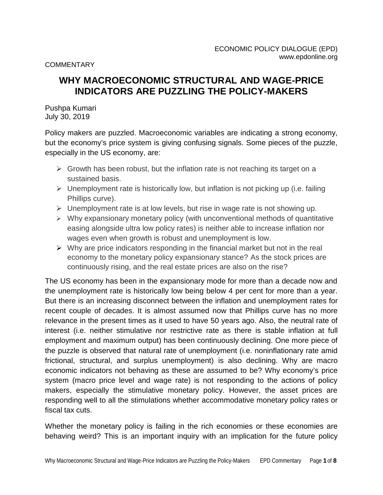**COMMENTARY** 

# **WHY MACROECONOMIC STRUCTURAL AND WAGE-PRICE INDICATORS ARE PUZZLING THE POLICY-MAKERS**

Pushpa Kumari July 30, 2019

Policy makers are puzzled. Macroeconomic variables are indicating a strong economy, but the economy's price system is giving confusing signals. Some pieces of the puzzle, especially in the US economy, are:

- $\triangleright$  Growth has been robust, but the inflation rate is not reaching its target on a sustained basis.
- $\triangleright$  Unemployment rate is historically low, but inflation is not picking up (i.e. failing Phillips curve).
- $\triangleright$  Unemployment rate is at low levels, but rise in wage rate is not showing up.
- $\triangleright$  Why expansionary monetary policy (with unconventional methods of quantitative easing alongside ultra low policy rates) is neither able to increase inflation nor wages even when growth is robust and unemployment is low.
- $\triangleright$  Why are price indicators responding in the financial market but not in the real economy to the monetary policy expansionary stance? As the stock prices are continuously rising, and the real estate prices are also on the rise?

The US economy has been in the expansionary mode for more than a decade now and the unemployment rate is historically low being below 4 per cent for more than a year. But there is an increasing disconnect between the inflation and unemployment rates for recent couple of decades. It is almost assumed now that Phillips curve has no more relevance in the present times as it used to have 50 years ago. Also, the neutral rate of interest (i.e. neither stimulative nor restrictive rate as there is stable inflation at full employment and maximum output) has been continuously declining. One more piece of the puzzle is observed that natural rate of unemployment (i.e. noninflationary rate amid frictional, structural, and surplus unemployment) is also declining. Why are macro economic indicators not behaving as these are assumed to be? Why economy's price system (macro price level and wage rate) is not responding to the actions of policy makers, especially the stimulative monetary policy. However, the asset prices are responding well to all the stimulations whether accommodative monetary policy rates or fiscal tax cuts.

Whether the monetary policy is failing in the rich economies or these economies are behaving weird? This is an important inquiry with an implication for the future policy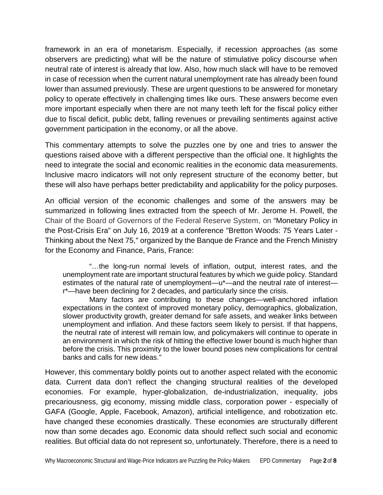framework in an era of monetarism. Especially, if recession approaches (as some observers are predicting) what will be the nature of stimulative policy discourse when neutral rate of interest is already that low. Also, how much slack will have to be removed in case of recession when the current natural unemployment rate has already been found lower than assumed previously. These are urgent questions to be answered for monetary policy to operate effectively in challenging times like ours. These answers become even more important especially when there are not many teeth left for the fiscal policy either due to fiscal deficit, public debt, falling revenues or prevailing sentiments against active government participation in the economy, or all the above.

This commentary attempts to solve the puzzles one by one and tries to answer the questions raised above with a different perspective than the official one. It highlights the need to integrate the social and economic realities in the economic data measurements. Inclusive macro indicators will not only represent structure of the economy better, but these will also have perhaps better predictability and applicability for the policy purposes.

An official version of the economic challenges and some of the answers may be summarized in following lines extracted from the speech of Mr. Jerome H. Powell, the Chair of the Board of Governors of the Federal Reserve System, on "Monetary Policy in the Post-Crisis Era" on July 16, 2019 at a conference "Bretton Woods: 75 Years Later - Thinking about the Next 75," organized by the Banque de France and the French Ministry for the Economy and Finance, Paris, France:

"…the long-run normal levels of inflation, output, interest rates, and the unemployment rate are important structural features by which we guide policy. Standard estimates of the natural rate of unemployment—u\*—and the neutral rate of interest r\*—have been declining for 2 decades, and particularly since the crisis.

Many factors are contributing to these changes—well-anchored inflation expectations in the context of improved monetary policy, demographics, globalization, slower productivity growth, greater demand for safe assets, and weaker links between unemployment and inflation. And these factors seem likely to persist. If that happens, the neutral rate of interest will remain low, and policymakers will continue to operate in an environment in which the risk of hitting the effective lower bound is much higher than before the crisis. This proximity to the lower bound poses new complications for central banks and calls for new ideas."

However, this commentary boldly points out to another aspect related with the economic data. Current data don't reflect the changing structural realities of the developed economies. For example, hyper-globalization, de-industrialization, inequality, jobs precariousness, gig economy, missing middle class, corporation power - especially of GAFA (Google, Apple, Facebook, Amazon), artificial intelligence, and robotization etc. have changed these economies drastically. These economies are structurally different now than some decades ago. Economic data should reflect such social and economic realities. But official data do not represent so, unfortunately. Therefore, there is a need to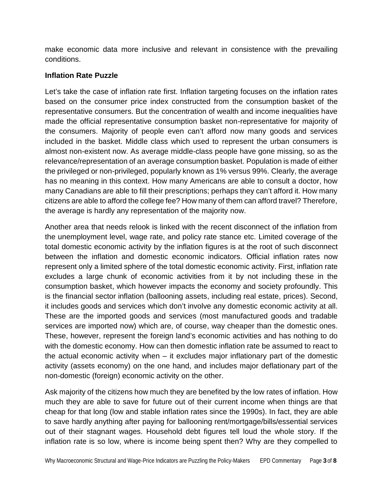make economic data more inclusive and relevant in consistence with the prevailing conditions.

#### **Inflation Rate Puzzle**

Let's take the case of inflation rate first. Inflation targeting focuses on the inflation rates based on the consumer price index constructed from the consumption basket of the representative consumers. But the concentration of wealth and income inequalities have made the official representative consumption basket non-representative for majority of the consumers. Majority of people even can't afford now many goods and services included in the basket. Middle class which used to represent the urban consumers is almost non-existent now. As average middle-class people have gone missing, so as the relevance/representation of an average consumption basket. Population is made of either the privileged or non-privileged, popularly known as 1% versus 99%. Clearly, the average has no meaning in this context. How many Americans are able to consult a doctor, how many Canadians are able to fill their prescriptions; perhaps they can't afford it. How many citizens are able to afford the college fee? How many of them can afford travel? Therefore, the average is hardly any representation of the majority now.

Another area that needs relook is linked with the recent disconnect of the inflation from the unemployment level, wage rate, and policy rate stance etc. Limited coverage of the total domestic economic activity by the inflation figures is at the root of such disconnect between the inflation and domestic economic indicators. Official inflation rates now represent only a limited sphere of the total domestic economic activity. First, inflation rate excludes a large chunk of economic activities from it by not including these in the consumption basket, which however impacts the economy and society profoundly. This is the financial sector inflation (ballooning assets, including real estate, prices). Second, it includes goods and services which don't involve any domestic economic activity at all. These are the imported goods and services (most manufactured goods and tradable services are imported now) which are, of course, way cheaper than the domestic ones. These, however, represent the foreign land's economic activities and has nothing to do with the domestic economy. How can then domestic inflation rate be assumed to react to the actual economic activity when – it excludes major inflationary part of the domestic activity (assets economy) on the one hand, and includes major deflationary part of the non-domestic (foreign) economic activity on the other.

Ask majority of the citizens how much they are benefited by the low rates of inflation. How much they are able to save for future out of their current income when things are that cheap for that long (low and stable inflation rates since the 1990s). In fact, they are able to save hardly anything after paying for ballooning rent/mortgage/bills/essential services out of their stagnant wages. Household debt figures tell loud the whole story. If the inflation rate is so low, where is income being spent then? Why are they compelled to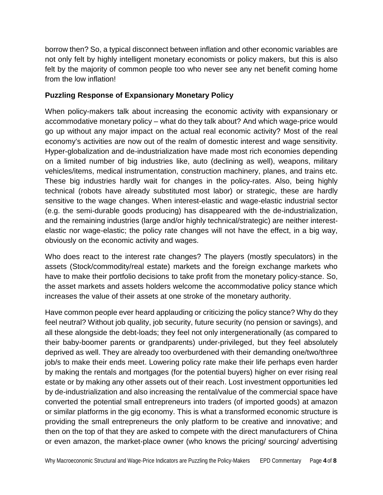borrow then? So, a typical disconnect between inflation and other economic variables are not only felt by highly intelligent monetary economists or policy makers, but this is also felt by the majority of common people too who never see any net benefit coming home from the low inflation!

# **Puzzling Response of Expansionary Monetary Policy**

When policy-makers talk about increasing the economic activity with expansionary or accommodative monetary policy – what do they talk about? And which wage-price would go up without any major impact on the actual real economic activity? Most of the real economy's activities are now out of the realm of domestic interest and wage sensitivity. Hyper-globalization and de-industrialization have made most rich economies depending on a limited number of big industries like, auto (declining as well), weapons, military vehicles/items, medical instrumentation, construction machinery, planes, and trains etc. These big industries hardly wait for changes in the policy-rates. Also, being highly technical (robots have already substituted most labor) or strategic, these are hardly sensitive to the wage changes. When interest-elastic and wage-elastic industrial sector (e.g. the semi-durable goods producing) has disappeared with the de-industrialization, and the remaining industries (large and/or highly technical/strategic) are neither interest elastic nor wage-elastic; the policy rate changes will not have the effect, in a big way, obviously on the economic activity and wages.

Who does react to the interest rate changes? The players (mostly speculators) in the assets (Stock/commodity/real estate) markets and the foreign exchange markets who have to make their portfolio decisions to take profit from the monetary policy-stance. So, the asset markets and assets holders welcome the accommodative policy stance which increases the value of their assets at one stroke of the monetary authority.

Have common people ever heard applauding or criticizing the policy stance? Why do they feel neutral? Without job quality, job security, future security (no pension or savings), and all these alongside the debt-loads; they feel not only intergenerationally (as compared to their baby-boomer parents or grandparents) under-privileged, but they feel absolutely deprived as well. They are already too overburdened with their demanding one/two/three job/s to make their ends meet. Lowering policy rate make their life perhaps even harder by making the rentals and mortgages (for the potential buyers) higher on ever rising real estate or by making any other assets out of their reach. Lost investment opportunities led by de-industrialization and also increasing the rental/value of the commercial space have converted the potential small entrepreneurs into traders (of imported goods) at amazon or similar platforms in the gig economy. This is what a transformed economic structure is providing the small entrepreneurs the only platform to be creative and innovative; and then on the top of that they are asked to compete with the direct manufacturers of China or even amazon, the market-place owner (who knows the pricing/ sourcing/ advertising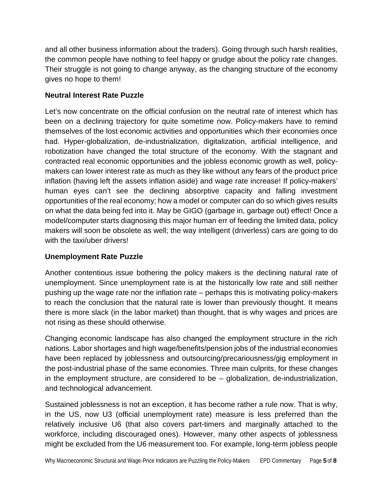and all other business information about the traders). Going through such harsh realities, the common people have nothing to feel happy or grudge about the policy rate changes. Their struggle is not going to change anyway, as the changing structure of the economy gives no hope to them!

# **Neutral Interest Rate Puzzle**

Let's now concentrate on the official confusion on the neutral rate of interest which has been on a declining trajectory for quite sometime now. Policy-makers have to remind themselves of the lost economic activities and opportunities which their economies once had. Hyper-globalization, de-industrialization, digitalization, artificial intelligence, and robotization have changed the total structure of the economy. With the stagnant and contracted real economic opportunities and the jobless economic growth as well, policy makers can lower interest rate as much as they like without any fears of the product price inflation (having left the assets inflation aside) and wage rate increase! If policy-makers' human eyes can't see the declining absorptive capacity and falling investment opportunities of the real economy; how a model or computer can do so which gives results on what the data being fed into it. May be GIGO (garbage in, garbage out) effect! Once a model/computer starts diagnosing this major human err of feeding the limited data, policy makers will soon be obsolete as well; the way intelligent (driverless) cars are going to do with the taxi/uber drivers!

### **Unemployment Rate Puzzle**

Another contentious issue bothering the policy makers is the declining natural rate of unemployment. Since unemployment rate is at the historically low rate and still neither pushing up the wage rate nor the inflation rate – perhaps this is motivating policy-makers to reach the conclusion that the natural rate is lower than previously thought. It means there is more slack (in the labor market) than thought, that is why wages and prices are not rising as these should otherwise.

Changing economic landscape has also changed the employment structure in the rich nations. Labor shortages and high wage/benefits/pension jobs of the industrial economies have been replaced by joblessness and outsourcing/precariousness/gig employment in the post-industrial phase of the same economies. Three main culprits, for these changes in the employment structure, are considered to be – globalization, de-industrialization, and technological advancement.

Sustained joblessness is not an exception, it has become rather a rule now. That is why, in the US, now U3 (official unemployment rate) measure is less preferred than the relatively inclusive U6 (that also covers part-timers and marginally attached to the workforce, including discouraged ones). However, many other aspects of joblessness might be excluded from the U6 measurement too. For example, long-term jobless people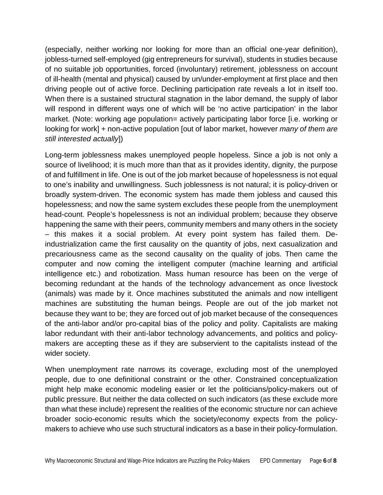(especially, neither working nor looking for more than an official one-year definition), jobless-turned self-employed (gig entrepreneurs for survival), students in studies because of no suitable job opportunities, forced (involuntary) retirement, joblessness on account of ill-health (mental and physical) caused by un/under-employment at first place and then driving people out of active force. Declining participation rate reveals a lot in itself too. When there is a sustained structural stagnation in the labor demand, the supply of labor will respond in different ways one of which will be 'no active participation' in the labor market. (Note: working age population= actively participating labor force [i.e. working or looking for work] + non-active population [out of labor market, however *many of them are still interested actually*])

Long-term joblessness makes unemployed people hopeless. Since a job is not only a source of livelihood; it is much more than that as it provides identity, dignity, the purpose of and fulfillment in life. One is out of the job market because of hopelessness is not equal to one's inability and unwillingness. Such joblessness is not natural; it is policy-driven or broadly system-driven. The economic system has made them jobless and caused this hopelessness; and now the same system excludes these people from the unemployment head-count. People's hopelessness is not an individual problem; because they observe happening the same with their peers, community members and many others in the society – this makes it a social problem. At every point system has failed them. Deindustrialization came the first causality on the quantity of jobs, next casualization and precariousness came as the second causality on the quality of jobs. Then came the computer and now coming the intelligent computer (machine learning and artificial intelligence etc.) and robotization. Mass human resource has been on the verge of becoming redundant at the hands of the technology advancement as once livestock (animals) was made by it. Once machines substituted the animals and now intelligent machines are substituting the human beings. People are out of the job market not because they want to be; they are forced out of job market because of the consequences of the anti-labor and/or pro-capital bias of the policy and polity. Capitalists are making labor redundant with their anti-labor technology advancements, and politics and policy makers are accepting these as if they are subservient to the capitalists instead of the wider society.

When unemployment rate narrows its coverage, excluding most of the unemployed people, due to one definitional constraint or the other. Constrained conceptualization might help make economic modeling easier or let the politicians/policy-makers out of public pressure. But neither the data collected on such indicators (as these exclude more than what these include) represent the realities of the economic structure nor can achieve broader socio-economic results which the society/economy expects from the policy makers to achieve who use such structural indicators as a base in their policy-formulation.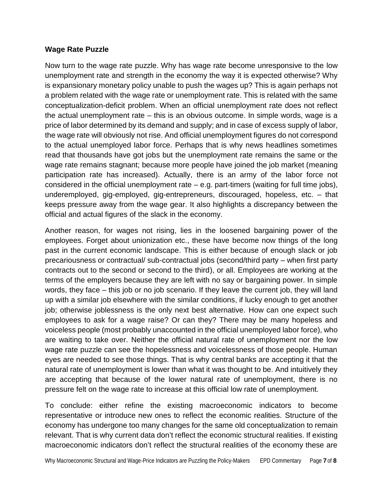#### **Wage Rate Puzzle**

Now turn to the wage rate puzzle. Why has wage rate become unresponsive to the low unemployment rate and strength in the economy the way it is expected otherwise? Why is expansionary monetary policy unable to push the wages up? This is again perhaps not a problem related with the wage rate or unemployment rate. This is related with the same conceptualization-deficit problem. When an official unemployment rate does not reflect the actual unemployment rate – this is an obvious outcome. In simple words, wage is a price of labor determined by its demand and supply; and in case of excess supply of labor, the wage rate will obviously not rise. And official unemployment figures do not correspond to the actual unemployed labor force. Perhaps that is why news headlines sometimes read that thousands have got jobs but the unemployment rate remains the same or the wage rate remains stagnant; because more people have joined the job market (meaning participation rate has increased). Actually, there is an army of the labor force not considered in the official unemployment rate – e.g. part-timers (waiting for full time jobs), underemployed, gig-employed, gig-entrepreneurs, discouraged, hopeless, etc. – that keeps pressure away from the wage gear. It also highlights a discrepancy between the official and actual figures of the slack in the economy.

Another reason, for wages not rising, lies in the loosened bargaining power of the employees. Forget about unionization etc., these have become now things of the long past in the current economic landscape. This is either because of enough slack or job precariousness or contractual/ sub-contractual jobs (second/third party – when first party contracts out to the second or second to the third), or all. Employees are working at the terms of the employers because they are left with no say or bargaining power. In simple words, they face – this job or no job scenario. If they leave the current job, they will land up with a similar job elsewhere with the similar conditions, if lucky enough to get another job; otherwise joblessness is the only next best alternative. How can one expect such employees to ask for a wage raise? Or can they? There may be many hopeless and voiceless people (most probably unaccounted in the official unemployed labor force), who are waiting to take over. Neither the official natural rate of unemployment nor the low wage rate puzzle can see the hopelessness and voicelessness of those people. Human eyes are needed to see those things. That is why central banks are accepting it that the natural rate of unemployment is lower than what it was thought to be. And intuitively they are accepting that because of the lower natural rate of unemployment, there is no pressure felt on the wage rate to increase at this official low rate of unemployment.

To conclude: either refine the existing macroeconomic indicators to become representative or introduce new ones to reflect the economic realities. Structure of the economy has undergone too many changes for the same old conceptualization to remain relevant. That is why current data don't reflect the economic structural realities. If existing macroeconomic indicators don't reflect the structural realities of the economy these are